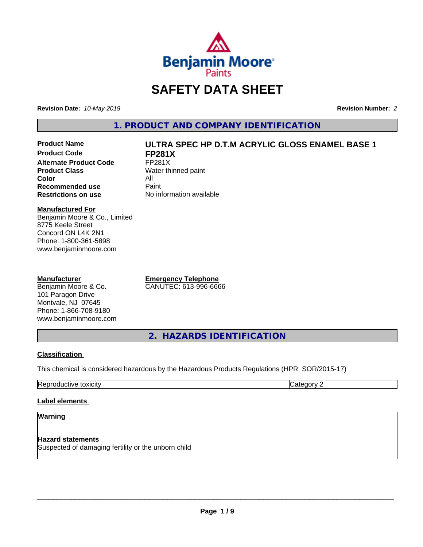

# **SAFETY DATA SHEET**

**Revision Date:** *10-May-2019* **Revision Number:** *2*

**1. PRODUCT AND COMPANY IDENTIFICATION**

**Product Code FP281X**<br>Alternate Product Code FP281X **Alternate Product Code**<br>Product Class **Color** All<br> **Recommended use** Paint **Recommended use**<br>Restrictions on use

# **Product Name ULTRA SPEC HP D.T.M ACRYLIC GLOSS ENAMEL BASE 1**

**Water thinned paint No information available** 

#### **Manufactured For**

Benjamin Moore & Co., Limited 8775 Keele Street Concord ON L4K 2N1 Phone: 1-800-361-5898 www.benjaminmoore.com

#### **Manufacturer**

Benjamin Moore & Co. 101 Paragon Drive Montvale, NJ 07645 Phone: 1-866-708-9180 www.benjaminmoore.com **Emergency Telephone** CANUTEC: 613-996-6666

**2. HAZARDS IDENTIFICATION**

# **Classification**

This chemical is considered hazardous by the Hazardous Products Regulations (HPR: SOR/2015-17)

| . .<br>.<br>. .<br>— —<br>.<br><br>,,, |  |
|----------------------------------------|--|
|                                        |  |

# **Label elements**

#### **Warning**

**Hazard statements** Suspected of damaging fertility or the unborn child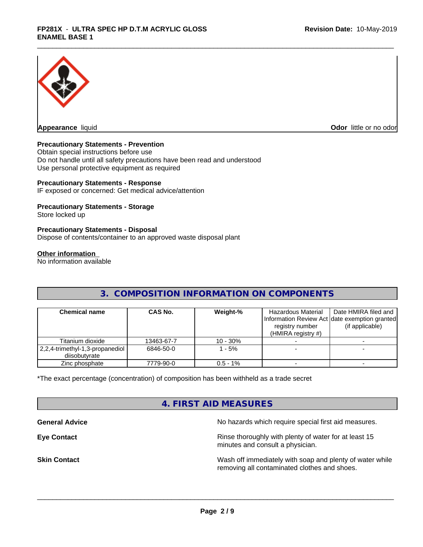

**Appearance** liquid

**Odor** little or no odor

### **Precautionary Statements - Prevention**

Obtain special instructions before use Do not handle until all safety precautions have been read and understood Use personal protective equipment as required

#### **Precautionary Statements - Response**

IF exposed or concerned: Get medical advice/attention

#### **Precautionary Statements - Storage**

Store locked up

#### **Precautionary Statements - Disposal**

Dispose of contents/container to an approved waste disposal plant

#### **Other information**

No information available

# **3. COMPOSITION INFORMATION ON COMPONENTS**

| <b>Chemical name</b>                               | <b>CAS No.</b> | Weight-%    | Hazardous Material<br>registry number<br>(HMIRA registry $#$ ) | Date HMIRA filed and<br>Information Review Act Idate exemption granted<br>(if applicable) |
|----------------------------------------------------|----------------|-------------|----------------------------------------------------------------|-------------------------------------------------------------------------------------------|
| Titanium dioxide                                   | 13463-67-7     | $10 - 30%$  |                                                                |                                                                                           |
| 2,2,4-trimethyl-1,3-propanediol  <br>diisobutvrate | 6846-50-0      | $-5%$       |                                                                |                                                                                           |
| Zinc phosphate                                     | 7779-90-0      | $0.5 - 1\%$ |                                                                |                                                                                           |

\*The exact percentage (concentration) of composition has been withheld as a trade secret

# **4. FIRST AID MEASURES**

**General Advice General Advice No hazards which require special first aid measures.** 

**Eye Contact Exercise 20 All 20 All 20 All 20 All 20 All 20 All 20 All 20 All 20 All 20 All 20 All 20 All 20 All 20 All 20 All 20 All 20 All 20 All 20 All 20 All 20 All 20 All 20 All 20 All 20 All 20 All 20 All 20 All 20** minutes and consult a physician.

**Skin Contact** Mash of immediately with soap and plenty of water while removing all contaminated clothes and shoes.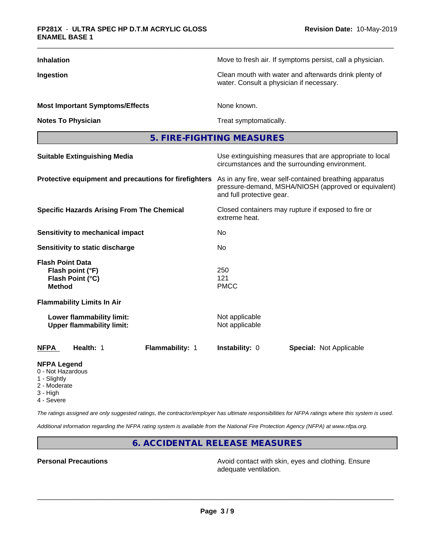| <b>Inhalation</b>                                                                | Move to fresh air. If symptoms persist, call a physician.                                                                                    |  |  |  |
|----------------------------------------------------------------------------------|----------------------------------------------------------------------------------------------------------------------------------------------|--|--|--|
| Ingestion                                                                        | Clean mouth with water and afterwards drink plenty of<br>water. Consult a physician if necessary.                                            |  |  |  |
| <b>Most Important Symptoms/Effects</b>                                           | None known.                                                                                                                                  |  |  |  |
| <b>Notes To Physician</b>                                                        | Treat symptomatically.                                                                                                                       |  |  |  |
|                                                                                  | 5. FIRE-FIGHTING MEASURES                                                                                                                    |  |  |  |
| <b>Suitable Extinguishing Media</b>                                              | Use extinguishing measures that are appropriate to local<br>circumstances and the surrounding environment.                                   |  |  |  |
| Protective equipment and precautions for firefighters                            | As in any fire, wear self-contained breathing apparatus<br>pressure-demand, MSHA/NIOSH (approved or equivalent)<br>and full protective gear. |  |  |  |
| <b>Specific Hazards Arising From The Chemical</b>                                | Closed containers may rupture if exposed to fire or<br>extreme heat.                                                                         |  |  |  |
| <b>Sensitivity to mechanical impact</b>                                          | No.                                                                                                                                          |  |  |  |
| Sensitivity to static discharge                                                  | No                                                                                                                                           |  |  |  |
| <b>Flash Point Data</b><br>Flash point (°F)<br>Flash Point (°C)<br><b>Method</b> | 250<br>121<br><b>PMCC</b>                                                                                                                    |  |  |  |
| <b>Flammability Limits In Air</b>                                                |                                                                                                                                              |  |  |  |
| Lower flammability limit:<br><b>Upper flammability limit:</b>                    | Not applicable<br>Not applicable                                                                                                             |  |  |  |
| Health: 1<br>Flammability: 1<br><b>NFPA</b>                                      | Instability: 0<br><b>Special: Not Applicable</b>                                                                                             |  |  |  |
| <b>NFPA Legend</b><br>0 - Not Hazardous                                          |                                                                                                                                              |  |  |  |

- 1 Slightly
- 2 Moderate
- 3 High
- 
- 4 Severe

*The ratings assigned are only suggested ratings, the contractor/employer has ultimate responsibilities for NFPA ratings where this system is used.*

*Additional information regarding the NFPA rating system is available from the National Fire Protection Agency (NFPA) at www.nfpa.org.*

**6. ACCIDENTAL RELEASE MEASURES**

**Personal Precautions Precautions** Avoid contact with skin, eyes and clothing. Ensure adequate ventilation.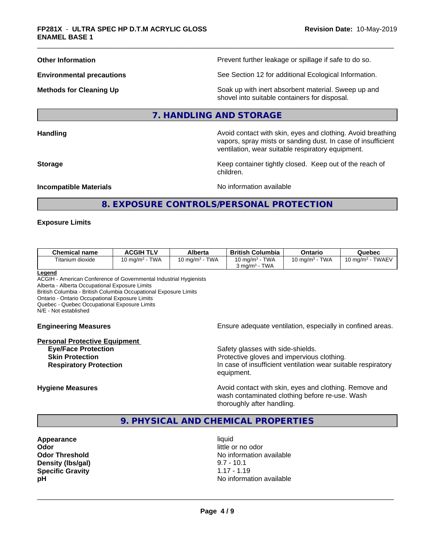**Other Information Department Information Department Intervent further leakage or spillage if safe to do so.** 

**Environmental precautions** See Section 12 for additional Ecological Information.

**Methods for Cleaning Up Example 20 All 20 All 20 All 20 Soak** up with inert absorbent material. Sweep up and shovel into suitable containers for disposal.

#### **7. HANDLING AND STORAGE**

**Handling Handling Avoid contact with skin, eyes and clothing. Avoid breathing Handling Avoid breathing Avoid breathing** 

vapors, spray mists or sanding dust. In case of insufficient ventilation, wear suitable respiratory equipment. **Storage Keep container tightly closed. Keep out of the reach of Keep** container tightly closed. Keep out of the reach of

**Incompatible Materials Incompatible Materials No information available** 

# **8. EXPOSURE CONTROLS/PERSONAL PROTECTION**

children.

#### **Exposure Limits**

| <b>Chemical name</b> | <b>ACGIH TLV</b>          | <b>Alberta</b>                       | <b>British Columbia</b>                                 | Ontario                              | Quebec                        |
|----------------------|---------------------------|--------------------------------------|---------------------------------------------------------|--------------------------------------|-------------------------------|
| Fitanium dioxide     | <b>TWA</b><br>10 ma/m $3$ | <b>TWA</b><br>10 mg/m <sup>3</sup> - | 10 mg/m $3$ - TWA<br><b>TWA</b><br>്യ ma/m <sup>3</sup> | <b>TWA</b><br>10 mg/m <sup>3</sup> - | TWAEV<br>10 mg/m $^3$ $\cdot$ |

**Legend**

ACGIH - American Conference of Governmental Industrial Hygienists Alberta - Alberta Occupational Exposure Limits

British Columbia - British Columbia Occupational Exposure Limits

Ontario - Ontario Occupational Exposure Limits

Quebec - Quebec Occupational Exposure Limits

N/E - Not established

#### **Personal Protective Equipment**

**Engineering Measures Ensure** Ensure adequate ventilation, especially in confined areas.

**Eye/Face Protection Safety glasses with side-shields. Skin Protection Protection Protective gloves and impervious clothing. Respiratory Protection In case of insufficient ventilation wear suitable respiratory** equipment.

**Hygiene Measures Avoid contact with skin, eyes and clothing. Remove and Avoid contact with skin, eyes and clothing. Remove and Avoid contact with skin, eyes and clothing. Remove and** wash contaminated clothing before re-use. Wash thoroughly after handling.

**9. PHYSICAL AND CHEMICAL PROPERTIES**

**Appearance** liquid **Odor** little or no odor **Density (lbs/gal)** 9.7 - 10.1<br> **Specific Gravity** 1.17 - 1.19 **Specific Gravity** 

**Odor Threshold** No information available **pH** No information available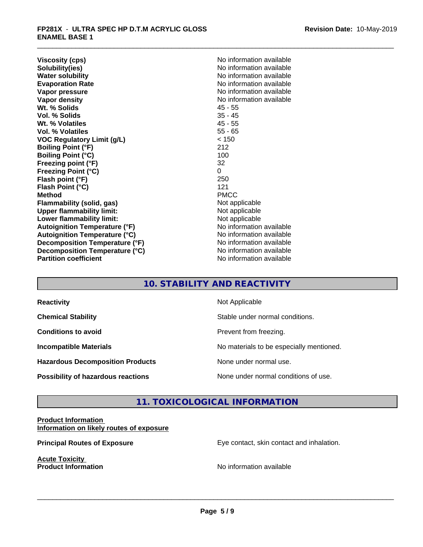**Viscosity (cps)** No information available<br> **Solubility(ies)** No information available **Solubility(ies)**<br> **No information available**<br> **Water solubility**<br> **Water solubility Evaporation Rate No information available No information available Vapor pressure** No information available in the North American Monte available in the North American available **Vapor density Vapor** density **Wt. % Solids** 45 - 55 **Vol. % Solids** 35 - 45 Wt. % Volatiles **Vol. % Volatiles** 55 - 65 **VOC Regulatory Limit (g/L)** < 150 **Boiling Point (°F)** 212 **Boiling Point (°C)** 100<br> **Preezing point (°F)** 32 **Freezing point (°F) Freezing Point (°C)** 0 **Flash point (°F)** 250 **Flash Point (°C)** 121 **Method** PMCC **Flammability (solid, gas)**<br> **Upper flammability limit:**<br>
Upper flammability limit:<br>  $\begin{array}{ccc}\n\bullet & \bullet & \bullet \\
\bullet & \bullet & \bullet\n\end{array}$  Not applicable **Upper flammability limit: Lower flammability limit:** Not applicable **Autoignition Temperature (°F)** No information available **Autoignition Temperature (°C)** No information available **Decomposition Temperature (°F)** No information available **Decomposition Temperature (°C)**<br> **Partition coefficient**<br> **Partition coefficient**<br> **No** information available

**No information available No information available** 

# **10. STABILITY AND REACTIVITY**

| <b>Reactivity</b>                         | Not Applicable                           |
|-------------------------------------------|------------------------------------------|
| <b>Chemical Stability</b>                 | Stable under normal conditions.          |
| <b>Conditions to avoid</b>                | Prevent from freezing.                   |
| <b>Incompatible Materials</b>             | No materials to be especially mentioned. |
| <b>Hazardous Decomposition Products</b>   | None under normal use.                   |
| <b>Possibility of hazardous reactions</b> | None under normal conditions of use.     |

# **11. TOXICOLOGICAL INFORMATION**

### **Product Information Information on likely routes of exposure**

**Acute Toxicity** 

**Principal Routes of Exposure Exposure** Eye contact, skin contact and inhalation.

**Product Information Internation International Contract Contract Contract Contract Contract Contract Contract Contract Contract Contract Contract Contract Contract Contract Contract Contract Contract Contract Contract**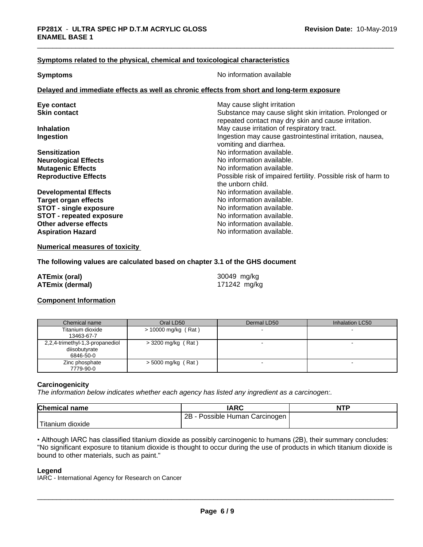#### **Symptoms related to the physical,chemical and toxicological characteristics**

**Symptoms** No information available

#### **Delayed and immediate effects as well as chronic effects from short and long-term exposure**

| Eye contact                     | May cause slight irritation                                   |
|---------------------------------|---------------------------------------------------------------|
| <b>Skin contact</b>             | Substance may cause slight skin irritation. Prolonged or      |
|                                 | repeated contact may dry skin and cause irritation.           |
| <b>Inhalation</b>               | May cause irritation of respiratory tract.                    |
| Ingestion                       | Ingestion may cause gastrointestinal irritation, nausea,      |
|                                 | vomiting and diarrhea.                                        |
| <b>Sensitization</b>            | No information available.                                     |
| <b>Neurological Effects</b>     | No information available.                                     |
| <b>Mutagenic Effects</b>        | No information available.                                     |
| <b>Reproductive Effects</b>     | Possible risk of impaired fertility. Possible risk of harm to |
|                                 | the unborn child.                                             |
| <b>Developmental Effects</b>    | No information available.                                     |
| <b>Target organ effects</b>     | No information available.                                     |
| <b>STOT - single exposure</b>   | No information available.                                     |
| <b>STOT - repeated exposure</b> | No information available.                                     |
| Other adverse effects           | No information available.                                     |
| <b>Aspiration Hazard</b>        | No information available.                                     |
|                                 |                                                               |

**Numerical measures of toxicity**

#### **The following values are calculated based on chapter 3.1 of the GHS document**

| ATEmix (oral)          | 30049 mg/kg  |
|------------------------|--------------|
| <b>ATEmix (dermal)</b> | 171242 mg/kg |

## **Component Information**

| Chemical name                                                 | Oral LD50            | Dermal LD50 | Inhalation LC50 |
|---------------------------------------------------------------|----------------------|-------------|-----------------|
| Titanium dioxide<br>13463-67-7                                | > 10000 mg/kg (Rat)  |             |                 |
| 2,2,4-trimethyl-1,3-propanediol<br>diisobutyrate<br>6846-50-0 | $>$ 3200 mg/kg (Rat) |             |                 |
| Zinc phosphate<br>7779-90-0                                   | $>$ 5000 mg/kg (Rat) |             |                 |

#### **Carcinogenicity**

*The information below indicateswhether each agency has listed any ingredient as a carcinogen:.*

| <b>Chemical name</b>          | <b>IARC</b>                     | <b>NTP</b> |
|-------------------------------|---------------------------------|------------|
|                               | 2B<br>Possible Human Carcinogen |            |
| <sup>I</sup> Titanium dioxide |                                 |            |

• Although IARC has classified titanium dioxide as possibly carcinogenic to humans (2B), their summary concludes: "No significant exposure to titanium dioxide is thought to occur during the use of products in which titanium dioxide is bound to other materials, such as paint."

#### **Legend**

IARC - International Agency for Research on Cancer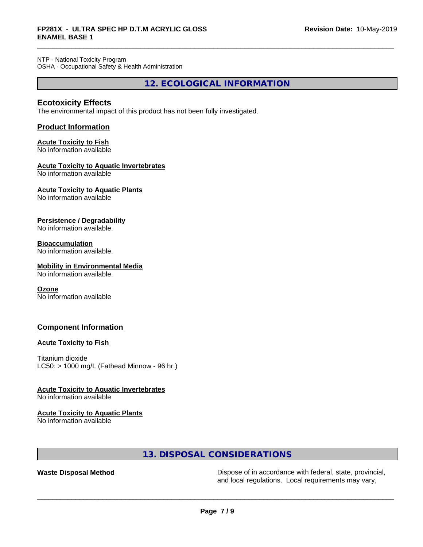NTP - National Toxicity Program OSHA - Occupational Safety & Health Administration

**12. ECOLOGICAL INFORMATION**

# **Ecotoxicity Effects**

The environmental impact of this product has not been fully investigated.

# **Product Information**

# **Acute Toxicity to Fish**

No information available

### **Acute Toxicity to Aquatic Invertebrates**

No information available

# **Acute Toxicity to Aquatic Plants**

No information available

### **Persistence / Degradability**

No information available.

### **Bioaccumulation**

No information available.

# **Mobility in Environmental Media**

No information available.

#### **Ozone**

No information available

# **Component Information**

#### **Acute Toxicity to Fish**

Titanium dioxide  $LC50:$  > 1000 mg/L (Fathead Minnow - 96 hr.)

#### **Acute Toxicity to Aquatic Invertebrates**

No information available

#### **Acute Toxicity to Aquatic Plants**

No information available

# **13. DISPOSAL CONSIDERATIONS**

**Waste Disposal Method** Dispose of in accordance with federal, state, provincial, and local regulations. Local requirements may vary,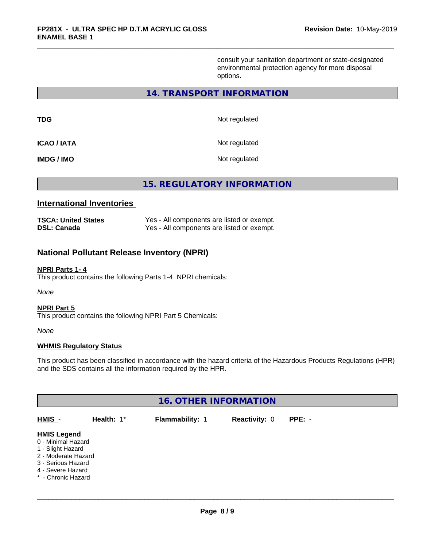consult your sanitation department or state-designated environmental protection agency for more disposal options.

## **14. TRANSPORT INFORMATION**

| <b>TDG</b>        | Not regulated |
|-------------------|---------------|
| <b>ICAO/IATA</b>  | Not regulated |
| <b>IMDG / IMO</b> | Not regulated |

**15. REGULATORY INFORMATION**

# **International Inventories**

| <b>TSCA: United States</b> | Yes - All components are listed or exempt. |
|----------------------------|--------------------------------------------|
| <b>DSL: Canada</b>         | Yes - All components are listed or exempt. |

# **National Pollutant Release Inventory (NPRI)**

#### **NPRI Parts 1- 4**

This product contains the following Parts 1-4 NPRI chemicals:

*None*

#### **NPRI Part 5**

This product contains the following NPRI Part 5 Chemicals:

*None*

#### **WHMIS Regulatory Status**

This product has been classified in accordance with the hazard criteria of the Hazardous Products Regulations (HPR) and the SDS contains all the information required by the HPR.

| <b>16. OTHER INFORMATION</b>                                                                                                                          |               |                 |                      |        |  |
|-------------------------------------------------------------------------------------------------------------------------------------------------------|---------------|-----------------|----------------------|--------|--|
| HMIS -                                                                                                                                                | Health: $1^*$ | Flammability: 1 | <b>Reactivity: 0</b> | PPE: - |  |
| <b>HMIS Legend</b><br>0 - Minimal Hazard<br>1 - Slight Hazard<br>2 - Moderate Hazard<br>3 - Serious Hazard<br>4 - Severe Hazard<br>* - Chronic Hazard |               |                 |                      |        |  |